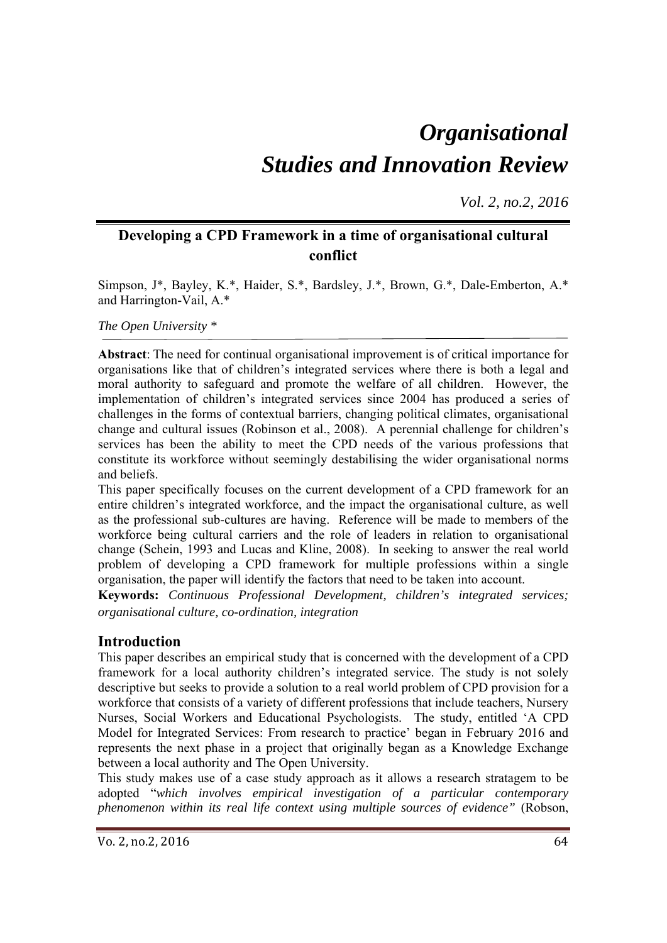# *Organisational Studies and Innovation Review*

*Vol. 2, no.2, 2016*

# **Developing a CPD Framework in a time of organisational cultural conflict**

Simpson, J\*, Bayley, K.\*, Haider, S.\*, Bardsley, J.\*, Brown, G.\*, Dale-Emberton, A.\* and Harrington-Vail, A.\*

*The Open University \** 

**Abstract**: The need for continual organisational improvement is of critical importance for organisations like that of children's integrated services where there is both a legal and moral authority to safeguard and promote the welfare of all children. However, the implementation of children's integrated services since 2004 has produced a series of challenges in the forms of contextual barriers, changing political climates, organisational change and cultural issues (Robinson et al., 2008). A perennial challenge for children's services has been the ability to meet the CPD needs of the various professions that constitute its workforce without seemingly destabilising the wider organisational norms and beliefs.

This paper specifically focuses on the current development of a CPD framework for an entire children's integrated workforce, and the impact the organisational culture, as well as the professional sub-cultures are having. Reference will be made to members of the workforce being cultural carriers and the role of leaders in relation to organisational change (Schein, 1993 and Lucas and Kline, 2008). In seeking to answer the real world problem of developing a CPD framework for multiple professions within a single organisation, the paper will identify the factors that need to be taken into account.

**Keywords:** *Continuous Professional Development, children's integrated services; organisational culture, co-ordination, integration* 

## **Introduction**

This paper describes an empirical study that is concerned with the development of a CPD framework for a local authority children's integrated service. The study is not solely descriptive but seeks to provide a solution to a real world problem of CPD provision for a workforce that consists of a variety of different professions that include teachers, Nursery Nurses, Social Workers and Educational Psychologists. The study, entitled 'A CPD Model for Integrated Services: From research to practice' began in February 2016 and represents the next phase in a project that originally began as a Knowledge Exchange between a local authority and The Open University.

This study makes use of a case study approach as it allows a research stratagem to be adopted "*which involves empirical investigation of a particular contemporary phenomenon within its real life context using multiple sources of evidence"* (Robson,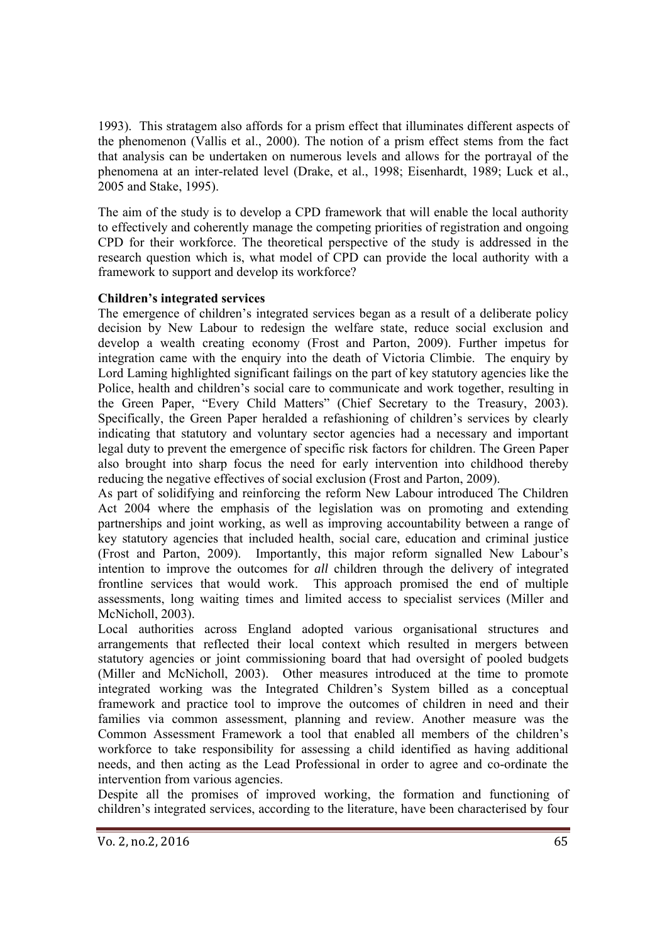1993). This stratagem also affords for a prism effect that illuminates different aspects of the phenomenon (Vallis et al., 2000). The notion of a prism effect stems from the fact that analysis can be undertaken on numerous levels and allows for the portrayal of the phenomena at an inter-related level (Drake, et al., 1998; Eisenhardt, 1989; Luck et al., 2005 and Stake, 1995).

The aim of the study is to develop a CPD framework that will enable the local authority to effectively and coherently manage the competing priorities of registration and ongoing CPD for their workforce. The theoretical perspective of the study is addressed in the research question which is, what model of CPD can provide the local authority with a framework to support and develop its workforce?

### **Children's integrated services**

The emergence of children's integrated services began as a result of a deliberate policy decision by New Labour to redesign the welfare state, reduce social exclusion and develop a wealth creating economy (Frost and Parton, 2009). Further impetus for integration came with the enquiry into the death of Victoria Climbie. The enquiry by Lord Laming highlighted significant failings on the part of key statutory agencies like the Police, health and children's social care to communicate and work together, resulting in the Green Paper, "Every Child Matters" (Chief Secretary to the Treasury, 2003). Specifically, the Green Paper heralded a refashioning of children's services by clearly indicating that statutory and voluntary sector agencies had a necessary and important legal duty to prevent the emergence of specific risk factors for children. The Green Paper also brought into sharp focus the need for early intervention into childhood thereby reducing the negative effectives of social exclusion (Frost and Parton, 2009).

As part of solidifying and reinforcing the reform New Labour introduced The Children Act 2004 where the emphasis of the legislation was on promoting and extending partnerships and joint working, as well as improving accountability between a range of key statutory agencies that included health, social care, education and criminal justice (Frost and Parton, 2009). Importantly, this major reform signalled New Labour's intention to improve the outcomes for *all* children through the delivery of integrated frontline services that would work. This approach promised the end of multiple assessments, long waiting times and limited access to specialist services (Miller and McNicholl, 2003).

Local authorities across England adopted various organisational structures and arrangements that reflected their local context which resulted in mergers between statutory agencies or joint commissioning board that had oversight of pooled budgets (Miller and McNicholl, 2003). Other measures introduced at the time to promote integrated working was the Integrated Children's System billed as a conceptual framework and practice tool to improve the outcomes of children in need and their families via common assessment, planning and review. Another measure was the Common Assessment Framework a tool that enabled all members of the children's workforce to take responsibility for assessing a child identified as having additional needs, and then acting as the Lead Professional in order to agree and co-ordinate the intervention from various agencies.

Despite all the promises of improved working, the formation and functioning of children's integrated services, according to the literature, have been characterised by four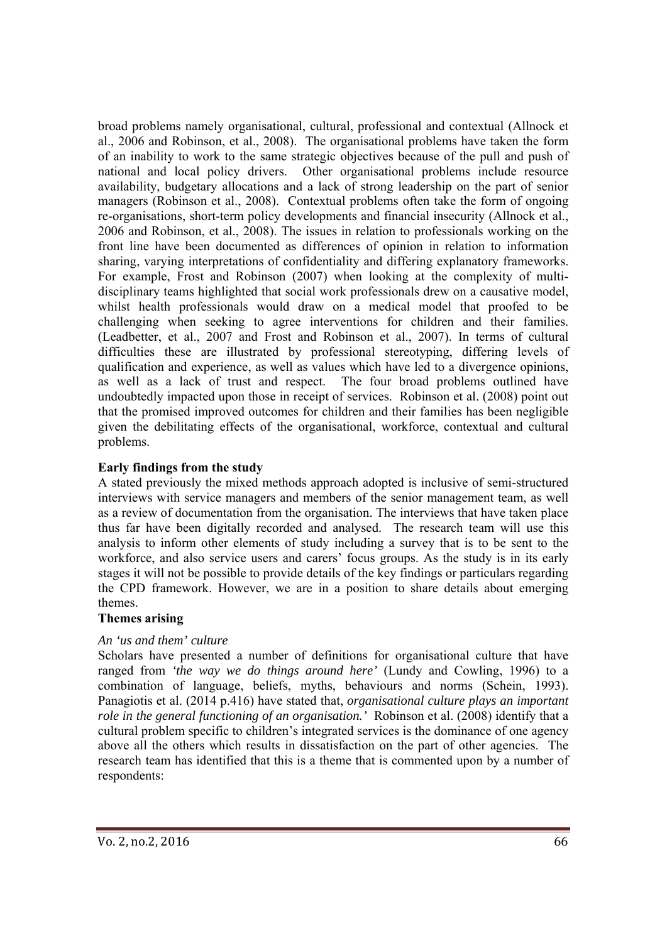broad problems namely organisational, cultural, professional and contextual (Allnock et al., 2006 and Robinson, et al., 2008). The organisational problems have taken the form of an inability to work to the same strategic objectives because of the pull and push of national and local policy drivers. Other organisational problems include resource availability, budgetary allocations and a lack of strong leadership on the part of senior managers (Robinson et al., 2008). Contextual problems often take the form of ongoing re-organisations, short-term policy developments and financial insecurity (Allnock et al., 2006 and Robinson, et al., 2008). The issues in relation to professionals working on the front line have been documented as differences of opinion in relation to information sharing, varying interpretations of confidentiality and differing explanatory frameworks. For example, Frost and Robinson (2007) when looking at the complexity of multidisciplinary teams highlighted that social work professionals drew on a causative model, whilst health professionals would draw on a medical model that proofed to be challenging when seeking to agree interventions for children and their families. (Leadbetter, et al., 2007 and Frost and Robinson et al., 2007). In terms of cultural difficulties these are illustrated by professional stereotyping, differing levels of qualification and experience, as well as values which have led to a divergence opinions, as well as a lack of trust and respect. The four broad problems outlined have undoubtedly impacted upon those in receipt of services. Robinson et al. (2008) point out that the promised improved outcomes for children and their families has been negligible given the debilitating effects of the organisational, workforce, contextual and cultural problems.

#### **Early findings from the study**

A stated previously the mixed methods approach adopted is inclusive of semi-structured interviews with service managers and members of the senior management team, as well as a review of documentation from the organisation. The interviews that have taken place thus far have been digitally recorded and analysed. The research team will use this analysis to inform other elements of study including a survey that is to be sent to the workforce, and also service users and carers' focus groups. As the study is in its early stages it will not be possible to provide details of the key findings or particulars regarding the CPD framework. However, we are in a position to share details about emerging themes.

#### **Themes arising**

#### *An 'us and them' culture*

Scholars have presented a number of definitions for organisational culture that have ranged from *'the way we do things around here'* (Lundy and Cowling, 1996) to a combination of language, beliefs, myths, behaviours and norms (Schein, 1993). Panagiotis et al. (2014 p.416) have stated that, *organisational culture plays an important role in the general functioning of an organisation.'* Robinson et al. (2008) identify that a cultural problem specific to children's integrated services is the dominance of one agency above all the others which results in dissatisfaction on the part of other agencies. The research team has identified that this is a theme that is commented upon by a number of respondents: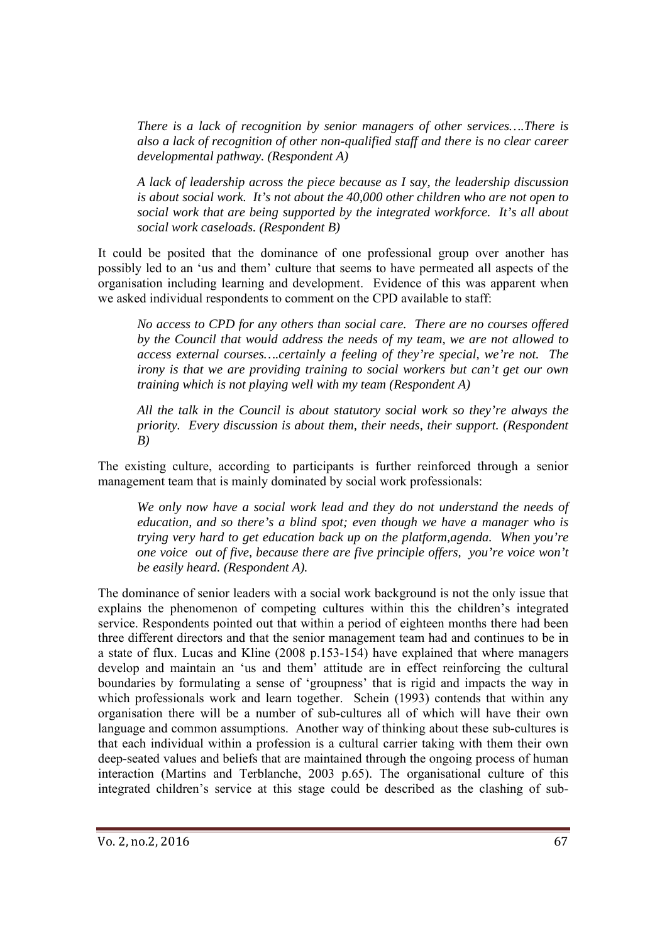*There is a lack of recognition by senior managers of other services….There is also a lack of recognition of other non-qualified staff and there is no clear career developmental pathway. (Respondent A)* 

*A lack of leadership across the piece because as I say, the leadership discussion is about social work. It's not about the 40,000 other children who are not open to social work that are being supported by the integrated workforce. It's all about social work caseloads. (Respondent B)* 

It could be posited that the dominance of one professional group over another has possibly led to an 'us and them' culture that seems to have permeated all aspects of the organisation including learning and development. Evidence of this was apparent when we asked individual respondents to comment on the CPD available to staff:

*No access to CPD for any others than social care. There are no courses offered by the Council that would address the needs of my team, we are not allowed to access external courses….certainly a feeling of they're special, we're not. The irony is that we are providing training to social workers but can't get our own training which is not playing well with my team (Respondent A)* 

*All the talk in the Council is about statutory social work so they're always the priority. Every discussion is about them, their needs, their support. (Respondent B)* 

The existing culture, according to participants is further reinforced through a senior management team that is mainly dominated by social work professionals:

*We only now have a social work lead and they do not understand the needs of education, and so there's a blind spot; even though we have a manager who is trying very hard to get education back up on the platform,agenda. When you're one voice out of five, because there are five principle offers, you're voice won't be easily heard. (Respondent A).*

The dominance of senior leaders with a social work background is not the only issue that explains the phenomenon of competing cultures within this the children's integrated service. Respondents pointed out that within a period of eighteen months there had been three different directors and that the senior management team had and continues to be in a state of flux. Lucas and Kline (2008 p.153-154) have explained that where managers develop and maintain an 'us and them' attitude are in effect reinforcing the cultural boundaries by formulating a sense of 'groupness' that is rigid and impacts the way in which professionals work and learn together. Schein (1993) contends that within any organisation there will be a number of sub-cultures all of which will have their own language and common assumptions. Another way of thinking about these sub-cultures is that each individual within a profession is a cultural carrier taking with them their own deep-seated values and beliefs that are maintained through the ongoing process of human interaction (Martins and Terblanche, 2003 p.65). The organisational culture of this integrated children's service at this stage could be described as the clashing of sub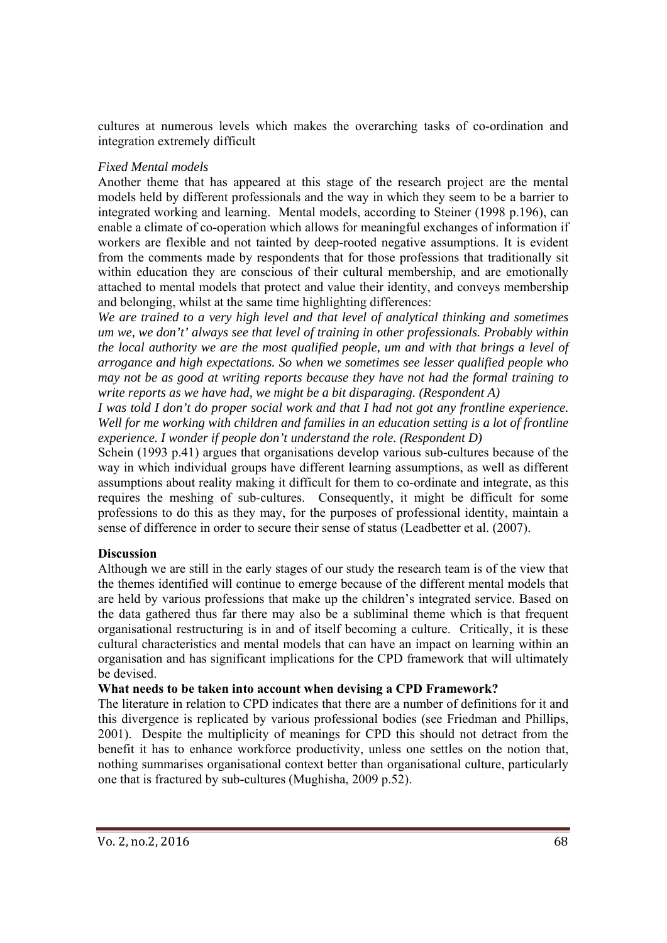cultures at numerous levels which makes the overarching tasks of co-ordination and integration extremely difficult

#### *Fixed Mental models*

Another theme that has appeared at this stage of the research project are the mental models held by different professionals and the way in which they seem to be a barrier to integrated working and learning. Mental models, according to Steiner (1998 p.196), can enable a climate of co-operation which allows for meaningful exchanges of information if workers are flexible and not tainted by deep-rooted negative assumptions. It is evident from the comments made by respondents that for those professions that traditionally sit within education they are conscious of their cultural membership, and are emotionally attached to mental models that protect and value their identity, and conveys membership and belonging, whilst at the same time highlighting differences:

*We are trained to a very high level and that level of analytical thinking and sometimes um we, we don't' always see that level of training in other professionals. Probably within the local authority we are the most qualified people, um and with that brings a level of arrogance and high expectations. So when we sometimes see lesser qualified people who may not be as good at writing reports because they have not had the formal training to write reports as we have had, we might be a bit disparaging. (Respondent A)* 

*I was told I don't do proper social work and that I had not got any frontline experience. Well for me working with children and families in an education setting is a lot of frontline experience. I wonder if people don't understand the role. (Respondent D)* 

Schein (1993 p.41) argues that organisations develop various sub-cultures because of the way in which individual groups have different learning assumptions, as well as different assumptions about reality making it difficult for them to co-ordinate and integrate, as this requires the meshing of sub-cultures. Consequently, it might be difficult for some professions to do this as they may, for the purposes of professional identity, maintain a sense of difference in order to secure their sense of status (Leadbetter et al. (2007).

#### **Discussion**

Although we are still in the early stages of our study the research team is of the view that the themes identified will continue to emerge because of the different mental models that are held by various professions that make up the children's integrated service. Based on the data gathered thus far there may also be a subliminal theme which is that frequent organisational restructuring is in and of itself becoming a culture. Critically, it is these cultural characteristics and mental models that can have an impact on learning within an organisation and has significant implications for the CPD framework that will ultimately be devised.

#### **What needs to be taken into account when devising a CPD Framework?**

The literature in relation to CPD indicates that there are a number of definitions for it and this divergence is replicated by various professional bodies (see Friedman and Phillips, 2001). Despite the multiplicity of meanings for CPD this should not detract from the benefit it has to enhance workforce productivity, unless one settles on the notion that, nothing summarises organisational context better than organisational culture, particularly one that is fractured by sub-cultures (Mughisha, 2009 p.52).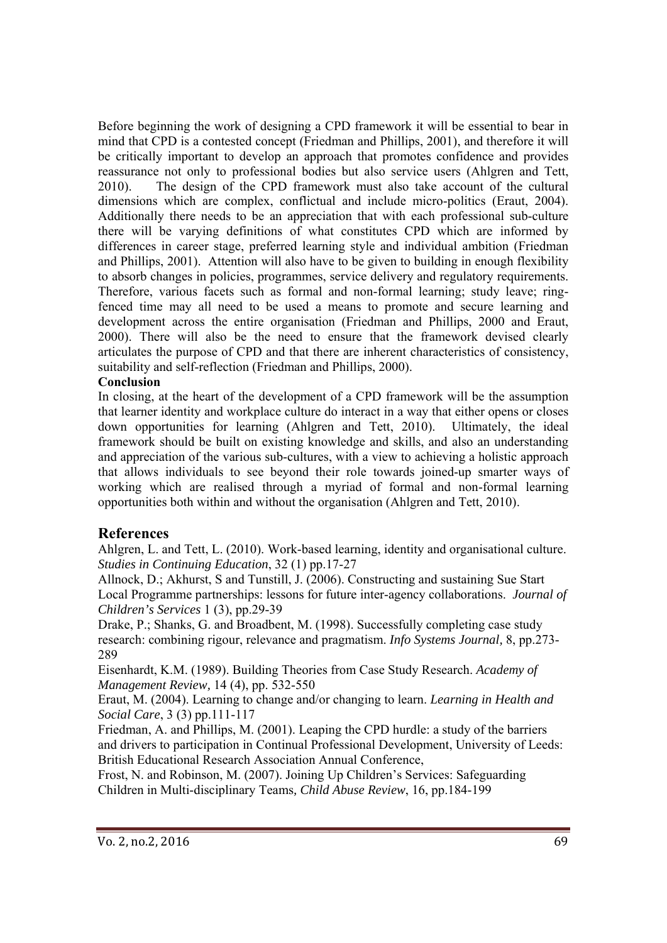Before beginning the work of designing a CPD framework it will be essential to bear in mind that CPD is a contested concept (Friedman and Phillips, 2001), and therefore it will be critically important to develop an approach that promotes confidence and provides reassurance not only to professional bodies but also service users (Ahlgren and Tett, 2010). The design of the CPD framework must also take account of the cultural dimensions which are complex, conflictual and include micro-politics (Eraut, 2004). Additionally there needs to be an appreciation that with each professional sub-culture there will be varying definitions of what constitutes CPD which are informed by differences in career stage, preferred learning style and individual ambition (Friedman and Phillips, 2001). Attention will also have to be given to building in enough flexibility to absorb changes in policies, programmes, service delivery and regulatory requirements. Therefore, various facets such as formal and non-formal learning; study leave; ringfenced time may all need to be used a means to promote and secure learning and development across the entire organisation (Friedman and Phillips, 2000 and Eraut, 2000). There will also be the need to ensure that the framework devised clearly articulates the purpose of CPD and that there are inherent characteristics of consistency, suitability and self-reflection (Friedman and Phillips, 2000).

#### **Conclusion**

In closing, at the heart of the development of a CPD framework will be the assumption that learner identity and workplace culture do interact in a way that either opens or closes down opportunities for learning (Ahlgren and Tett, 2010). Ultimately, the ideal framework should be built on existing knowledge and skills, and also an understanding and appreciation of the various sub-cultures, with a view to achieving a holistic approach that allows individuals to see beyond their role towards joined-up smarter ways of working which are realised through a myriad of formal and non-formal learning opportunities both within and without the organisation (Ahlgren and Tett, 2010).

#### **References**

Ahlgren, L. and Tett, L. (2010). Work-based learning, identity and organisational culture. *Studies in Continuing Education*, 32 (1) pp.17-27

Allnock, D.; Akhurst, S and Tunstill, J. (2006). Constructing and sustaining Sue Start Local Programme partnerships: lessons for future inter-agency collaborations. *Journal of Children's Services* 1 (3), pp.29-39

Drake, P.; Shanks, G. and Broadbent, M. (1998). Successfully completing case study research: combining rigour, relevance and pragmatism. *Info Systems Journal,* 8, pp.273- 289

Eisenhardt, K.M. (1989). Building Theories from Case Study Research. *Academy of Management Review,* 14 (4), pp. 532-550

Eraut, M. (2004). Learning to change and/or changing to learn. *Learning in Health and Social Care*, 3 (3) pp.111-117

Friedman, A. and Phillips, M. (2001). Leaping the CPD hurdle: a study of the barriers and drivers to participation in Continual Professional Development, University of Leeds: British Educational Research Association Annual Conference,

Frost, N. and Robinson, M. (2007). Joining Up Children's Services: Safeguarding Children in Multi-disciplinary Teams*, Child Abuse Review*, 16, pp.184-199